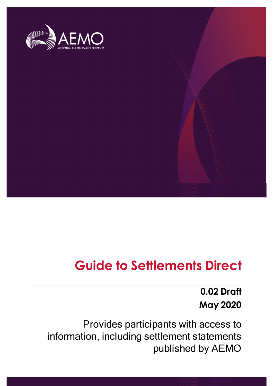

# **Guide to Settlements Direct**

# **0.02 Draft May 2020**

Provides participants with access to information, including settlement statements published by AEMO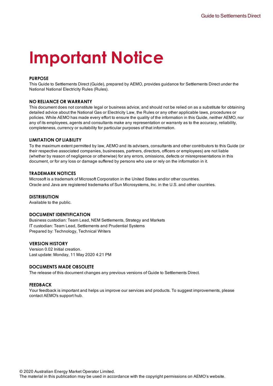# **Important Notice**

#### <span id="page-1-0"></span>**PURPOSE**

This Guide to Settlements Direct (Guide), prepared by AEMO, provides guidance for Settlements Direct under the National National Electricity Rules (Rules).

#### **NO RELIANCE OR WARRANTY**

This document does not constitute legal or business advice, and should not be relied on as a substitute for obtaining detailed advice about the National Gas or Electricity Law, the Rules or any other applicable laws, procedures or policies. While AEMO has made every effort to ensure the quality of the information in this Guide, neither AEMO, nor any of its employees, agents and consultants make any representation or warranty as to the accuracy, reliability, completeness, currency or suitability for particular purposes of that information.

#### **LIMITATION OF LIABILITY**

To the maximum extent permitted by law, AEMO and its advisers, consultants and other contributors to this Guide (or their respective associated companies, businesses, partners, directors, officers or employees) are not liable (whether by reason of negligence or otherwise) for any errors, omissions, defects or misrepresentations in this document, or for any loss or damage suffered by persons who use or rely on the information in it.

#### **TRADEMARK NOTICES**

Microsoft is a trademark of Microsoft Corporation in the United States and/or other countries. Oracle and Java are registered trademarks of Sun Microsystems, Inc. in the U.S. and other countries.

#### **DISTRIBUTION**

Available to the public.

#### **DOCUMENT IDENTIFICATION**

Business custodian: Team Lead, NEM Settlements, Strategy and Markets IT custodian: Team Lead, Settlements and Prudential Systems Prepared by: Technology, Technical Writers

#### **VERSION HISTORY**

Version 0.02 Initial creation. Last update: Monday, 11 May 2020 4:21 PM

#### **DOCUMENTS MADE OBSOLETE**

The release of this document changes any previous versions of Guide to Settlements Direct.

#### **FEEDBACK**

Your feedback is important and helps us improve our services and products. To suggest improvements, please contact AEMO's support hub.

© 2020 Australian Energy Market Operator Limited.

The material in this publication may be used in accordance with the copyright permissions on AEMO's website.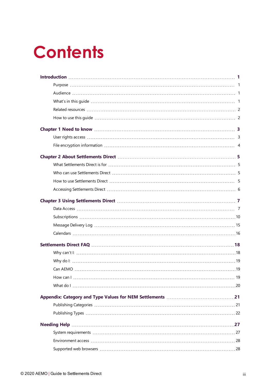# **Contents**

| How can L |  |
|-----------|--|
|           |  |
|           |  |
|           |  |
|           |  |
|           |  |
|           |  |
|           |  |
|           |  |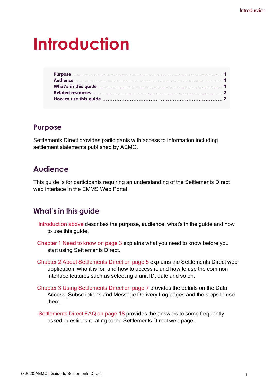# <span id="page-4-0"></span>**Introduction**

# <span id="page-4-1"></span>**Purpose**

Settlements Direct provides participants with access to information including settlement statements published by AEMO.

# <span id="page-4-2"></span>**Audience**

This guide is for participants requiring an understanding of the Settlements Direct web interface in the EMMS Web Portal.

# <span id="page-4-3"></span>**What's in this guide**

- [Introduction](#page-4-0) above describes the purpose, audience, what's in the guide and how to use this guide.
- [Chapter](#page-6-0) 1 Need to know on page 3 explains what you need to know before you start using Settlements Direct.
- Chapter 2 About [Settlements](#page-8-0) Direct on page 5 explains the Settlements Direct web application, who it is for, and how to access it, and how to use the common interface features such as selecting a unit ID, date and so on.
- Chapter 3 Using [Settlements](#page-10-0) Direct on page 7 provides the details on the Data Access, Subscriptions and Message Delivery Log pages and the steps to use them.
- [Settlements](#page-21-0) Direct FAQ on page 18 provides the answers to some frequently asked questions relating to the Settlements Direct web page.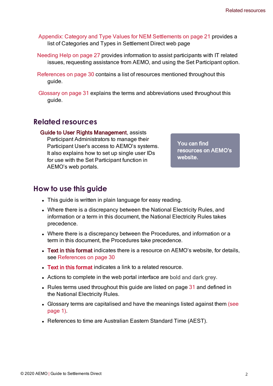Appendix: Category and Type Values for [NEM Settlements](#page-24-0) on page 21 provides a list of Categories and Types in Settlement Direct web page

[Needing](#page-30-0) Help on page 27 provides information to assist participants with IT related issues, requesting assistance from AEMO, and using the Set Participant option.

[References](#page-33-0) on page 30 contains a list of resources mentioned throughout this guide.

Glossary on page 31 explains the terms and abbreviations used throughout this guide.

# <span id="page-5-0"></span>**Related resources**

<span id="page-5-2"></span>Guide to User Rights Management, assists Participant Administrators to manage their Participant User's access to AEMO's systems. It also explains how to set up single user IDs for use with the Set Participant function in AEMO's web portals.

You can find resources on AEMO's website.

# <span id="page-5-1"></span>**How to use this guide**

- This guide is written in plain language for easy reading.
- Where there is a discrepancy between the National Electricity Rules, and information or a term in this document, the National Electricity Rules takes precedence.
- Where there is a discrepancy between the Procedures, and information or a term in this document, the Procedures take precedence.
- <span id="page-5-3"></span>• Text in this format indicates there is a resource on AEMO's website, for details, see [References](#page-33-0) on page 30
- Text in this format indicates a link to a related resource.
- Actions to complete in the web portal interface are bold and dark grey.
- Rules terms used throughout this guide are listed on page  $31$  and defined in the National Electricity Rules.
- Glossary terms are capitalised and have the meanings listed against them (see page 1).
- References to time are Australian Eastern Standard Time (AEST).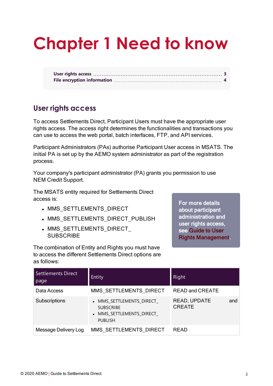# <span id="page-6-0"></span>**Chapter 1 Need to know**

# <span id="page-6-1"></span>**User rights access**

To access Settlements Direct, Participant Users must have the appropriate user rights access. The access right determines the functionalities and transactions you can use to access the web portal, batch interfaces, FTP, and API services.

Participant Administrators (PAs) authorise Participant User access in MSATS. The initial PA is set up by the AEMO system administrator as part of the registration process.

Your company's participant administrator (PA) grants you permission to use NEM Credit Support.

<span id="page-6-3"></span>The MSATS entity required for Settlements Direct access is:

- MMS SETTLEMENTS DIRECT
- MMS SETTLEMENTS DIRECT PUBLISH
- MMS\_SETTLEMENTS\_DIRECT **SUBSCRIBE**

<span id="page-6-2"></span>For more details about participant administration and user rights access, see [Guide](https://aemo.com.au/-/media/Files/Electricity/NEM/Retail_and_Metering/Market_Settlement_And_Transfer_Solutions/Guide_to_User_Rights_Management.pdf) to User Rights [Management](https://aemo.com.au/-/media/Files/Electricity/NEM/Retail_and_Metering/Market_Settlement_And_Transfer_Solutions/Guide_to_User_Rights_Management.pdf).

The combination of Entity and Rights you must have to access the different Settlements Direct options are as follows:

| <b>Settlements Direct</b><br>page | Entity                                                                                     | Right                                |
|-----------------------------------|--------------------------------------------------------------------------------------------|--------------------------------------|
| Data Access                       | MMS SETTLEMENTS DIRECT                                                                     | <b>READ and CREATE</b>               |
| Subscriptions                     | • MMS SETTLEMENTS DIRECT<br><b>SUBSCRIBE</b><br>• MMS SETTLEMENTS DIRECT<br><b>PUBLISH</b> | READ, UPDATE<br>and<br><b>CREATE</b> |
| Message Delivery Log              | MMS SETTLEMENTS DIRECT                                                                     | <b>READ</b>                          |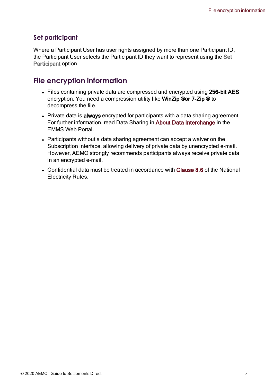# <span id="page-7-4"></span>**Set participant**

Where a Participant User has user rights assigned by more than one Participant ID, the Participant User selects the Participant ID they want to represent using the Set Participant option.

# <span id="page-7-0"></span>**File encryption information**

- <span id="page-7-3"></span>• Files containing private data are compressed and encrypted using 256-bit AES encryption. You need a compression utility like WinZip ®or 7-Zip ® to decompress the file.
- <span id="page-7-1"></span>• Private data is always encrypted for participants with a data sharing agreement. For further information, read Data Sharing in About Data Interchange in the EMMS Web Portal.
- Participants without a data sharing agreement can accept a waiver on the Subscription interface, allowing delivery of private data by unencrypted e-mail. However, AEMO strongly recommends participants always receive private data in an encrypted e-mail.
- <span id="page-7-2"></span>• Confidential data must be treated in accordance with Clause 8.6 of the National Electricity Rules.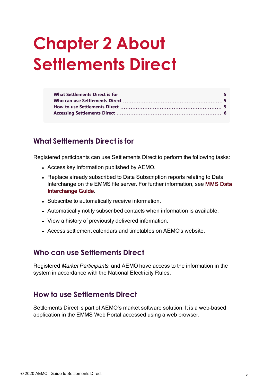# <span id="page-8-0"></span>**Chapter 2 About Settlements Direct**

# <span id="page-8-1"></span>**What Settlements Direct is for**

<span id="page-8-5"></span>Registered participants can use Settlements Direct to perform the following tasks:

- <span id="page-8-6"></span><span id="page-8-4"></span>• Access key information published by AEMO.
- Replace already subscribed to Data Subscription reports relating to Data Interchange on the EMMS file server. For further information, see MMS Data Interchange Guide.
- Subscribe to automatically receive information.
- Automatically notify subscribed contacts when information is available.
- View a history of previously delivered information.
- Access settlement calendars and timetables on AEMO's website.

# <span id="page-8-2"></span>**Who can use Settlements Direct**

Registered Market Participants, and AEMO have access to the information in the system in accordance with the National Electricity Rules.

# <span id="page-8-3"></span>**How to use Settlements Direct**

Settlements Direct is part of AEMO's market software solution. It is a web-based application in the EMMS Web Portal accessed using a web browser.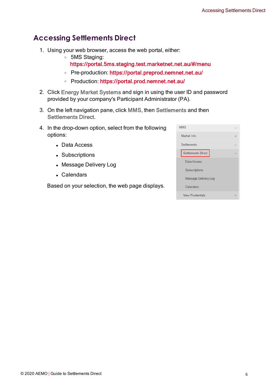# <span id="page-9-0"></span>**Accessing Settlements Direct**

- <span id="page-9-1"></span>1. Using your web browser, access the web portal, either:
	- <sup>o</sup> 5MS Staging:
		- https://portal.5ms.staging.test.marketnet.net.au/#/menu
	- <sup>o</sup> Pre-production: [https://portal.preprod.nemnet.net.au/](https://portal.prod.nemnet.net.au/)
	- <sup>o</sup> Production: <https://portal.prod.nemnet.net.au/>
- <span id="page-9-5"></span>2. Click Energy Market Systems and sign in using the user ID and password provided by your company's Participant Administrator (PA).
- 3. On the left navigation pane, click MMS, then Settlements and then Settlements Direct.
- <span id="page-9-6"></span><span id="page-9-3"></span>4. In the drop-down option, select from the following options:
	- Data Access
	- Subscriptions
	- Message Delivery Log
	- Calendars

<span id="page-9-4"></span><span id="page-9-2"></span>Based on your selection, the web page displays.

| <b>MMS</b>              |   |
|-------------------------|---|
| Market Info             |   |
| Settlements             |   |
| Settlements Direct      |   |
| Data Access             |   |
| Subscriptions           |   |
| Message Delivery Log    |   |
| Calendars               |   |
| <b>View Prudentials</b> | ÷ |
|                         |   |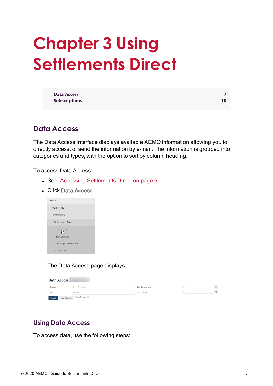# <span id="page-10-0"></span>**Chapter 3 Using Settlements Direct**

# <span id="page-10-1"></span>**Data Access**

The Data Access interface displays available AEMO information allowing you to directly access, or send the information by e-mail. The information is grouped into categories and types, with the option to sort by column heading.

To access Data Access:

- See Accessing [Settlements](#page-9-0) Direct on page 6.
- **.** Click Data Access.



The Data Access page displays.

| <b>Data Access</b> |             | $\overline{\phantom{a}}$        | $\overline{\phantom{a}}$ |
|--------------------|-------------|---------------------------------|--------------------------|
| Category           |             | Select Category<br>$\checkmark$ | Date Delivered From      |
| Type               |             | All Type<br>w                   | Date Delivered To        |
| Search             | Most Recent | Show Filename III               |                          |

| from | e |
|------|---|
| from |   |

# **Using Data Access**

To access data, use the following steps: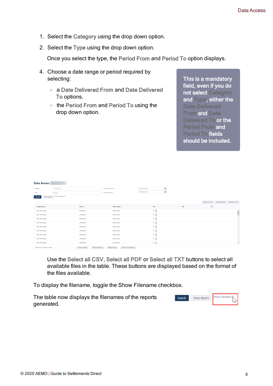- 1. Select the Category using the drop down option.
- 2. Select the Type using the drop down option.

Once you select the type, the Period From and Period To option displays.

- 4. Choose a date range or period required by selecting:
	- <sup>o</sup> a Date Delivered From and Date Delivered To options.
	- <sup>o</sup> the Period From and Period To using the drop down option.

This is a mandatory field, even if you do not select Category and Type, either the Date Delivered **From and Date** Delivered To or the Period From and Period To fields should be included.

| Data Access                       |                               |                                 |                     |                      |                  |                                                   |     |     |                                              |                          |
|-----------------------------------|-------------------------------|---------------------------------|---------------------|----------------------|------------------|---------------------------------------------------|-----|-----|----------------------------------------------|--------------------------|
| Category                          | All Categories                |                                 | Date Delivered From |                      | 01/03/2019 12:00 |                                                   |     |     |                                              |                          |
| Type                              | All Type                      |                                 | Date Delivered To   |                      | 18/02/2020 12:00 | $\begin{array}{c} \square \\ \square \end{array}$ |     |     |                                              |                          |
| Search                            | Most Recent Show Filename III |                                 |                     |                      |                  |                                                   |     |     |                                              |                          |
|                                   |                               |                                 |                     |                      |                  |                                                   |     |     | Select All CSV Select All PDF Select All TXT |                          |
| Category/Type $\div$              |                               | Period $\div$                   | Date Created $\div$ |                      | CSV              |                                                   | PDF | TXT |                                              |                          |
| NEM MMS Data                      |                               | 2019WK27                        | 26/07/2019          |                      | - D              |                                                   |     |     |                                              | à                        |
| NEM MMS Data                      |                               | 2019WK27                        | 26/07/2019          |                      | - D              |                                                   |     |     |                                              |                          |
| NEM MMS Data                      |                               | 2019WK28                        | 26/07/2019          |                      | $-$ 0            |                                                   |     |     |                                              |                          |
| NEM MMS Data                      |                               | 2019WK29                        | 26/07/2019          |                      | - 0              |                                                   |     |     |                                              |                          |
| NEM MMS Data                      |                               | 2019WK29                        | 26/07/2019          |                      | - 0              |                                                   |     |     |                                              |                          |
| NEM MMS Data                      |                               | 2019WK28                        | 26/07/2019          |                      | - D              |                                                   |     |     |                                              |                          |
| NEM MMS Data                      |                               | 2019WK29                        | 26/07/2019          |                      | $-$ 0            |                                                   |     |     |                                              |                          |
| NEM MMS Data                      |                               | 2019WK28                        | 26/07/2019          |                      | $-$ D            |                                                   |     |     |                                              |                          |
| NEM MMS Data                      |                               | 2019WK30                        | 26/07/2019          |                      | - 0              |                                                   |     |     |                                              | $\overline{\phantom{a}}$ |
| Encryption Key (for Email Myself) |                               | E-mail Myself<br>Download Files | Resend Files        | Place on File Server |                  |                                                   |     |     |                                              |                          |

Use the Select all CSV, Select all PDF or Select all TXT buttons to select all available files in the table. These buttons are displayed based on the format of the files available.

To display the filename, toggle the Show Filename checkbox.

The table now displays the filenames of the reports generated.

| Search | Most Recent | Show Filename 凤 |
|--------|-------------|-----------------|
|        |             |                 |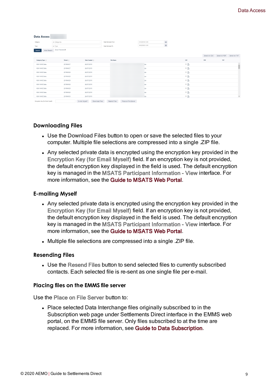| <b>Data Access</b>      |                  |                     |                     |                  |                                                   |        |     |                               |                |
|-------------------------|------------------|---------------------|---------------------|------------------|---------------------------------------------------|--------|-----|-------------------------------|----------------|
| Category                | All Categories   |                     | Date Delivered From | 01/03/2019 12:00 | $\begin{array}{c} \square \\ \square \end{array}$ |        |     |                               |                |
| Type<br>All Type        |                  |                     | Date Delivered To   | 18/02/2020 12:00 |                                                   |        |     |                               |                |
| Most Recent<br>Search   | Show Filename M  |                     |                     |                  |                                                   |        |     |                               |                |
|                         |                  |                     |                     |                  |                                                   |        |     | Select All CSV Select All PDF | Select All TXT |
| Category/Type $\hat{=}$ | Period $\hat{=}$ | Date Created $\div$ | <b>File Name</b>    |                  |                                                   | CSV    | PDF | TXT                           |                |
| NEM MMS Data            | 2019WK27         | 26/07/2019          |                     | zip              |                                                   | $\Box$ |     |                               |                |
| NEM MMS Data            | 2019WK27         | 26/07/2019          |                     | zip              |                                                   | ் ∆    |     |                               |                |
| NEM MMS Data            | 2019WK28         | 26/07/2019          |                     | zip              |                                                   | $\Box$ |     |                               |                |
| NEM MMS Data            | 2019WK29         | 26/07/2019          |                     | zip              |                                                   | $\Box$ |     |                               |                |
| NEM MMS Data            | 2019WK29         | 26/07/2019          |                     | zip              |                                                   | ் ∆    |     |                               |                |
| NEM MMS Data            | 2019WK28         | 26/07/2019          |                     | zip              |                                                   | $-5$   |     |                               |                |
| NEM MMS Data            | 2019WK29         | 26/07/2019          |                     | zip              |                                                   | $-5$   |     |                               |                |
| NEM MMS Data            | 2019WK28         | 26/07/2019          |                     | zip              |                                                   | $-5$   |     |                               |                |
| NEM MMS Data            | 2019WK30         | 26/07/2019          |                     | zip              |                                                   | $\Box$ |     |                               |                |

#### **Downloading Files**

- <span id="page-12-3"></span>• Use the Download Files button to open or save the selected files to your computer. Multiple file selections are compressed into a single .ZIP file.
- <span id="page-12-0"></span>• Any selected private data is encrypted using the encryption key provided in the Encryption Key (for Email Myself) field. If an encryption key is not provided, the default encryption key displayed in the field is used. The default encryption key is managed in the MSATS Participant Information - View interface. For more information, see the Guide to MSATS Web Portal.

#### **E-mailing Myself**

- <span id="page-12-1"></span>• Any selected private data is encrypted using the encryption key provided in the Encryption Key (for Email Myself) field. If an encryption key is not provided, the default encryption key displayed in the field is used. The default encryption key is managed in the MSATS Participant Information - View interface. For more information, see the Guide to MSATS Web Portal.
- Multiple file selections are compressed into a single .ZIP file.

#### **Resending Files**

• Use the Resend Files button to send selected files to currently subscribed contacts. Each selected file is re-sent as one single file per e-mail.

#### **Placing files on the EMMS file server**

Use the Place on File Server button to:

<span id="page-12-2"></span>• Place selected Data Interchange files originally subscribed to in the Subscription web page under Settlements Direct interface in the EMMS web portal, on the EMMS file server. Only files subscribed to at the time are replaced. For more information, see Guide to Data Subscription.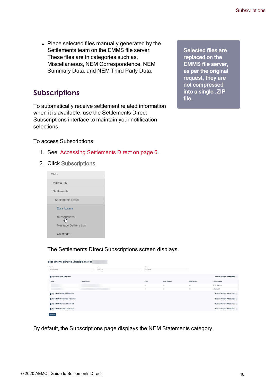<span id="page-13-1"></span>• Place selected files manually generated by the Settlements team on the EMMS file server. These files are in categories such as, Miscellaneous, NEM Correspondence, NEM Summary Data, and NEM Third Party Data.

# <span id="page-13-0"></span>**Subscriptions**

To automatically receive settlement related information when it is available, use the Settlements Direct Subscriptions interface to maintain your notification selections.

<span id="page-13-3"></span>To access Subscriptions:

- 1. See Accessing [Settlements](#page-9-0) Direct on page 6.
- 2. Click Subscriptions.



The Settlements Direct Subscriptions screen displays.

| Settlements Direct Subscriptions for |                        |             |              |                         |               |                                   |
|--------------------------------------|------------------------|-------------|--------------|-------------------------|---------------|-----------------------------------|
| Category                             |                        | Type        | Contact      |                         |               |                                   |
| NEM Statements                       | $\searrow$             | Select Type | All Contacts |                         |               |                                   |
| Type: NEM Final Statement            |                        |             |              |                         |               | <b>Secure Delivery Attachment</b> |
| Name                                 | <b>Contact Details</b> |             | E-mail       | Notify by E-mail        | Notify by SMS | Contact Identifier                |
|                                      |                        |             | 田            | $\Box$                  | $\Box$        | <b>REGISTRATION</b>               |
|                                      |                        |             | $\Box$       | $\qquad \qquad \boxdot$ | $\Box$        | MSATSUSER                         |
| Type: NEM Makeup Statement           |                        |             |              |                         |               | <b>Secure Delivery Attachment</b> |
| Type: NEM Preliminary Statement      |                        |             |              |                         |               | <b>Secure Delivery Attachment</b> |
| Type: NEM Revision Statement         |                        |             |              |                         |               | <b>Secure Delivery Attachment</b> |
| Type: NEM ShortFall Statement        |                        |             |              |                         |               | <b>Secure Delivery Attachment</b> |
| Submit                               |                        |             |              |                         |               |                                   |

<span id="page-13-2"></span>By default, the Subscriptions page displays the NEM Statements category.

Selected files are replaced on the EMMS file server, as per the original request, they are not compressed into a single .ZIP file.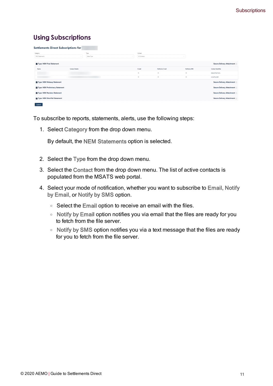# **Using Subscriptions**

| Settlements Direct Subscriptions for |                        |             |                                                                  |                                                                         |                                                                         |                                   |
|--------------------------------------|------------------------|-------------|------------------------------------------------------------------|-------------------------------------------------------------------------|-------------------------------------------------------------------------|-----------------------------------|
| Category                             |                        | Type        | Contact                                                          |                                                                         |                                                                         |                                   |
| NEM Statements                       |                        | Select Type | All Contacts                                                     |                                                                         |                                                                         |                                   |
| Type: NEM Final Statement            |                        |             |                                                                  |                                                                         |                                                                         | <b>Secure Delivery Attachment</b> |
| Name                                 | <b>Contact Details</b> |             | E-mail                                                           | Notify by E-mail                                                        | Notify by SMS                                                           | Contact Identifier                |
|                                      |                        |             | $\qquad \qquad \boxdot$                                          | $\boxdot$                                                               | $\qquad \qquad \Box$                                                    | <b>REGISTRATION</b>               |
|                                      |                        |             | $\qquad \qquad \qquad \qquad \qquad \qquad \qquad \qquad \qquad$ | $\qquad \qquad \qquad \qquad \qquad \qquad \qquad \qquad \qquad \qquad$ | $\qquad \qquad \qquad \qquad \qquad \qquad \qquad \qquad \qquad \qquad$ | MSATSUSER                         |
| Type: NEM Makeup Statement           |                        |             |                                                                  |                                                                         |                                                                         | Secure Delivery Attachment        |
| Type: NEM Preliminary Statement      |                        |             |                                                                  |                                                                         |                                                                         | <b>Secure Delivery Attachment</b> |
| Type: NEM Revision Statement         |                        |             |                                                                  |                                                                         |                                                                         | <b>Secure Delivery Attachment</b> |
| Type: NEM ShortFall Statement        |                        |             |                                                                  |                                                                         |                                                                         | <b>Secure Delivery Attachment</b> |
| Submit                               |                        |             |                                                                  |                                                                         |                                                                         |                                   |

To subscribe to reports, statements, alerts, use the following steps:

1. Select Category from the drop down menu.

By default, the NEM Statements option is selected.

- <span id="page-14-0"></span>2. Select the Type from the drop down menu.
- 3. Select the Contact from the drop down menu. The list of active contacts is populated from the MSATS web portal.
- 4. Select your mode of notification, whether you want to subscribe to Email, Notify by Email, or Notify by SMS option.
	- $\circ$  Select the Email option to receive an email with the files.
	- <sup>o</sup> Notify by Email option notifies you via email that the files are ready for you to fetch from the file server.
	- <sup>o</sup> Notify by SMS option notifies you via a text message that the files are ready for you to fetch from the file server.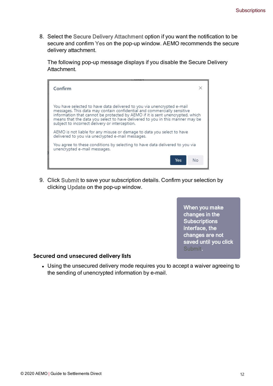<span id="page-15-0"></span>8. Select the Secure Delivery Attachment option if you want the notification to be secure and confirm Yes on the pop-up window. AEMO recommends the secure delivery attachment.

The following pop-up message displays if you disable the Secure Delivery Attachment.

| Confirm                                                                                                                                                                                                                                                                                                                                                               |    |
|-----------------------------------------------------------------------------------------------------------------------------------------------------------------------------------------------------------------------------------------------------------------------------------------------------------------------------------------------------------------------|----|
| You have selected to have data delivered to you via unencrypted e-mail<br>messages. This data may contain confidential and commercially sensitive<br>information that cannot be protected by AEMO if it is sent unencrypted, which<br>means that the data you select to have delivered to you in this manner may be<br>subject to incorrect delivery or interception. |    |
| AEMO is not liable for any misuse or damage to data you select to have<br>delivered to you via unecrypted e-mail messages.                                                                                                                                                                                                                                            |    |
| You agree to these conditions by selecting to have data delivered to you via<br>unencrypted e-mail messages.                                                                                                                                                                                                                                                          |    |
| Yes                                                                                                                                                                                                                                                                                                                                                                   | Nο |

9. Click Submit to save your subscription details. Confirm your selection by clicking Update on the pop-up window.

> When you make changes in the **Subscriptions** interface, the changes are not saved until you click Submit.

#### **Secured and unsecured delivery lists**

• Using the unsecured delivery mode requires you to accept a waiver agreeing to the sending of unencrypted information by e-mail.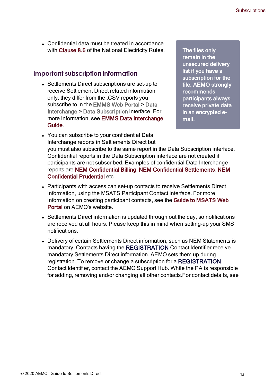<span id="page-16-0"></span>• Confidential data must be treated in accordance with Clause 8.6 of the National Electricity Rules.

## **Important subscription information**

<span id="page-16-1"></span>• Settlements Direct subscriptions are set-up to receive Settlement Direct related information only, they differ from the .CSV reports you subscribe to in the EMMS Web Portal > Data Interchange > Data Subscription interface. For more information, see EMMS Data Interchange Guide.

The files only remain in the unsecured delivery list if you have a subscription for the file. AEMO strongly recommends participants always receive private data in an encrypted email.

- <span id="page-16-2"></span>• You can subscribe to your confidential Data Interchange reports in Settlements Direct but you must also subscribe to the same report in the Data Subscription interface. Confidential reports in the Data Subscription interface are not created if participants are not subscribed. Examples of confidential Data Interchange reports are NEM Confidential Billing, NEM Confidential Settlements, NEM Confidential Prudential etc.
- <span id="page-16-3"></span>• Participants with access can set-up contacts to receive Settlements Direct information, using the MSATS Participant Contact interface. For more information on creating participant contacts, see the Guide to MSATS Web Portal on AEMO's website.
- Settlements Direct information is updated through out the day, so notifications are received at all hours. Please keep this in mind when setting-up your SMS notifications.
- <span id="page-16-4"></span>• Delivery of certain Settlements Direct information, such as NEM Statements is mandatory. Contacts having the REGISTRATION Contact Identifier receive mandatory Settlements Direct information. AEMO sets them up during registration. To remove or change a subscription for a REGISTRATION Contact Identifier, contact the AEMO Support Hub. While the PA is responsible for adding, removing and/or changing all other contacts.For contact details, see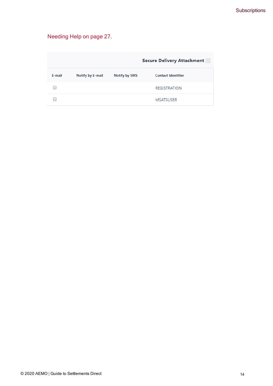# [Needing](#page-30-0) Help on page 27.

|        |                  |               | <b>Secure Delivery Attachment</b> |
|--------|------------------|---------------|-----------------------------------|
| E-mail | Notify by E-mail | Notify by SMS | <b>Contact Identifier</b>         |
|        |                  |               | <b>REGISTRATION</b>               |
|        |                  |               | <b>MSATSUSER</b>                  |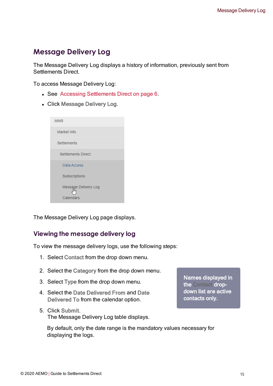# <span id="page-18-0"></span>**Message Delivery Log**

The Message Delivery Log displays a history of information, previously sent from Settlements Direct.

To access Message Delivery Log:

- See Accessing [Settlements](#page-9-0) Direct on page 6.
- Click Message Delivery Log.

| <b>MMS</b>           |
|----------------------|
| Market Info          |
| Settlements          |
| Settlements Direct   |
| Data Access          |
| Subscriptions        |
| Message Delivery Log |
| Calendars:           |

The Message Delivery Log page displays.

# **Viewing the message delivery log**

To view the message delivery logs, use the following steps:

- 1. Select Contact from the drop down menu.
- 2. Select the Category from the drop down menu.
- 3. Select Type from the drop down menu.
- 4. Select the Date Delivered From and Date Delivered To from the calendar option.
- 5. Click Submit. The Message Delivery Log table displays.

Names displayed in the Contact dropdown list are active contacts only.

By default, only the date range is the mandatory values necessary for displaying the logs.

© 2020 AEMO | Guide to Settlements Direct 15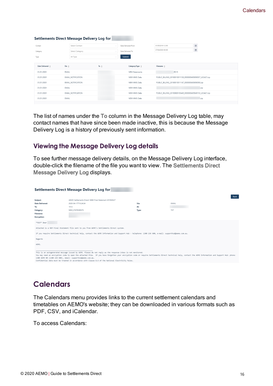|                             | <b>Settlements Direct Message Delivery Log for</b> |                 |                           |                                                           |
|-----------------------------|----------------------------------------------------|-----------------|---------------------------|-----------------------------------------------------------|
| Contact                     | Select Contact                                     |                 | Date Delivered From       | 卣<br>01/05/2019 12:00                                     |
| Category                    | Select Category                                    |                 | Date Delivered To         | Ö<br>27/04/2020 00:00                                     |
| Type                        | All Type                                           |                 | Submit                    |                                                           |
| Date Delivered $\triangleq$ | Via $\hat{=}$                                      | To $\triangleq$ | Category/Type $\triangle$ | Filename $\triangle$                                      |
| 01/01/0001                  | EMAIL                                              |                 | <b>NEM Statements</b>     | .R013                                                     |
| 01/01/0001                  | EMAIL_NOTIFICATION                                 |                 | NEM MMS Data              | PUBLIC_BILLING_20190810011138_0000000409090057_LEGACY.zip |
| 01/01/0001                  | <b>EMAIL NOTIFICATION</b>                          |                 | NEM MMS Data              | PUBLIC_BILLING_20190810011147_0000000409090050.zip        |
| 01/01/0001                  | EMAIL                                              |                 | NEM MMS Data              | .zip                                                      |
| 01/01/0001                  | EMAIL_NOTIFICATION                                 |                 | NEM MMS Data              | PUBLIC_BILLING_20190808105449_0000000409049153_LEGACY.zip |
| 01/01/0001                  | EMAIL                                              |                 | NEM MMS Data              | zip                                                       |

The list of names under the To column in the Message Delivery Log table, may contact names that have since been made inactive, this is because the Message Delivery Log is a history of previously sent information.

## **Viewing the Message Delivery Log details**

To see further message delivery details, on the Message Delivery Log interface, double-click the filename of the file you want to view. The Settlements Direct Message Delivery Log displays.

| <b>Settlements Direct Message Delivery Log for</b>          |                                                                                                                                                                                                                                                                                                                                                                                                                                |       |            |  |  |  |
|-------------------------------------------------------------|--------------------------------------------------------------------------------------------------------------------------------------------------------------------------------------------------------------------------------------------------------------------------------------------------------------------------------------------------------------------------------------------------------------------------------|-------|------------|--|--|--|
|                                                             |                                                                                                                                                                                                                                                                                                                                                                                                                                |       | Back       |  |  |  |
| Subject:                                                    | AEMO Settlements Direct: NEM Final Statement 2018WK27                                                                                                                                                                                                                                                                                                                                                                          |       |            |  |  |  |
| Date Delivered:                                             | 2020-04-17T15:24:34                                                                                                                                                                                                                                                                                                                                                                                                            | Via:  | EMAIL      |  |  |  |
| To:                                                         | 1512                                                                                                                                                                                                                                                                                                                                                                                                                           | At:   |            |  |  |  |
| Category:                                                   | NEM STATEMENTS                                                                                                                                                                                                                                                                                                                                                                                                                 | Type: | <b>TXT</b> |  |  |  |
| Filename:                                                   |                                                                                                                                                                                                                                                                                                                                                                                                                                |       |            |  |  |  |
| <b>Encryption:</b>                                          |                                                                                                                                                                                                                                                                                                                                                                                                                                |       |            |  |  |  |
| *TEST* Dear<br>Regards                                      | Attached is a NEM Final Statement file sent to you from AEMO's Settlements Direct system.<br>If you require Settlements Direct technical help, contact the AEMO Information and Support Hub - telephone: 1300 236 600, e-mail: supporthub@aemo.com.au.                                                                                                                                                                         |       |            |  |  |  |
| AEMO.                                                       |                                                                                                                                                                                                                                                                                                                                                                                                                                |       |            |  |  |  |
| 1300 AEMO 00 (1300 236 600), email: supporthub@aemo.com.au. | This is an autogenerated message issued by AEMO. Please do not reply as the response inbox is not monitored.<br>You may need an encryption code to open the attached file. If you have forgotten your encryption code or require Settlements Direct technical help, contact the AEMO Information and Support Hub: phone:<br>Confidential data must be treated in accordance with Clause 8.6 of the National Electricity Rules. |       |            |  |  |  |

# <span id="page-19-1"></span><span id="page-19-0"></span>**Calendars**

The Calendars menu provides links to the current settlement calendars and timetables on AEMO's website; they can be downloaded in various formats such as PDF, CSV, and iCalendar.

To access Calendars: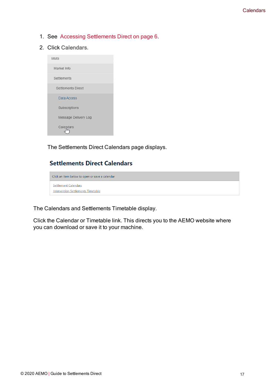- 1. See Accessing [Settlements](#page-9-0) Direct on page 6.
- 2. Click Calendars.

| <b>MMS</b>           |
|----------------------|
| Market Info          |
| Settlements          |
| Settlements Direct   |
| Data Access          |
| Subscriptions        |
| Message Delivery Log |
| Calendars:           |

The Settlements Direct Calendars page displays.

# **Settlements Direct Calendars**

Click an item below to open or save a calendar Settlement Calendars **Intervention Settlements Timetable** 

<span id="page-20-0"></span>The Calendars and Settlements Timetable display.

Click the Calendar or Timetable link. This directs you to the AEMO website where you can download or save it to your machine.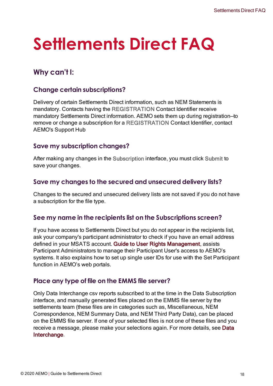# <span id="page-21-0"></span>**Settlements Direct FAQ**

# <span id="page-21-1"></span>**Why can't I:**

# **Change certain subscriptions?**

Delivery of certain Settlements Direct information, such as NEM Statements is mandatory. Contacts having the REGISTRATION Contact Identifier receive mandatory Settlements Direct information. AEMO sets them up during registration—to remove or change a subscription for a REGISTRATION Contact Identifier, contact AEMO's Support Hub

# **Save my subscription changes?**

After making any changes in the Subscription interface, you must click Submit to save your changes.

# **Save my changes to the secured and unsecured delivery lists?**

Changes to the secured and unsecured delivery lists are not saved if you do not have a subscription for the file type.

# <span id="page-21-2"></span>**See my name in the recipients list on the Subscriptions screen?**

If you have access to Settlements Direct but you do not appear in the recipients list, ask your company's participant administrator to check if you have an email address defined in your MSATS account. Guide to User Rights Management, assists Participant Administrators to manage their Participant User's access to AEMO's systems. It also explains how to set up single user IDs for use with the Set Participant function in AEMO's web portals.

## <span id="page-21-3"></span>**Place any type of file on the EMMS file server?**

Only Data Interchange csv reports subscribed to at the time in the Data Subscription interface, and manually generated files placed on the EMMS file server by the settlements team (these files are in categories such as, Miscellaneous, NEM Correspondence, NEM Summary Data, and NEM Third Party Data), can be placed on the EMMS file server. If one of your selected files is not one of these files and you receive a message, please make your selections again. For more details, see Data Interchange.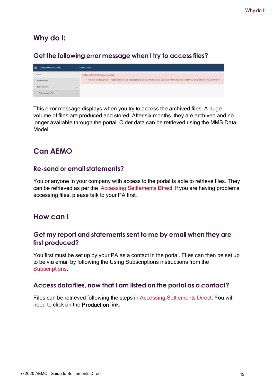# <span id="page-22-0"></span>**Why do I:**

# **Get the following error message when I try to access files?**

| <b>AEMO Markets Portal</b><br>≡ |                                            | Data Access                                                                                                                              |
|---------------------------------|--------------------------------------------|------------------------------------------------------------------------------------------------------------------------------------------|
| <b>MMS</b>                      | $\frac{1}{2} \left( \frac{1}{2} \right)^2$ | Failed with the following error(s):                                                                                                      |
| Market Info                     | ÷                                          | - Unable to deliver file. Please contact the helpdesk providing reference GFDex and information on what you were attempting to retrieve. |
| Settlements                     | -                                          |                                                                                                                                          |
| Settlements Direct              | <b>Service</b>                             |                                                                                                                                          |

This error message displays when you try to access the archived files. A huge volume of files are produced and stored. After six months, they are archived and no longer available through the portal. Older data can be retrieved using the MMS Data Model.

# <span id="page-22-1"></span>**Can AEMO**

# **Re-send or email statements?**

You or anyone in your company with access to the portal is able to retrieve files. They can be retrieved as per the Accessing Settlements Direct. If you are having problems accessing files, please talk to your PA first.

# <span id="page-22-2"></span>**How can I**

# **Get my report and statements sent to me by email when they are first produced?**

You first must be set up by your PA as a contact in the portal. Files can then be set up to be via email by following the Using Subscriptions instructions from the **Subscriptions** 

# **Access data files, now that I am listed on the portal as a contact?**

Files can be retrieved following the steps in Accessing Settlements Direct. You will need to click on the Production link.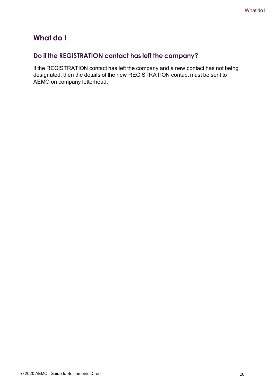# <span id="page-23-0"></span>**What do I**

# **Do if the REGISTRATION contact has left the company?**

If the REGISTRATION contact has left the company and a new contact has not being designated, then the details of the new REGISTRATION contact must be sent to AEMO on company letterhead.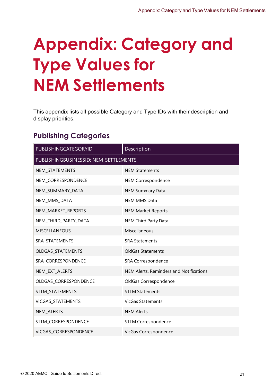# <span id="page-24-0"></span>**Appendix: Category and Type Values for NEM Settlements**

This appendix lists all possible Category and Type IDs with their description and display priorities.

# <span id="page-24-1"></span>**Publishing Categories**

| PUBLISHINGCATEGORYID                  | Description                             |  |  |  |  |
|---------------------------------------|-----------------------------------------|--|--|--|--|
| PUBLISHINGBUSINESSID: NEM_SETTLEMENTS |                                         |  |  |  |  |
| NEM_STATEMENTS                        | <b>NEM Statements</b>                   |  |  |  |  |
| NEM_CORRESPONDENCE                    | NEM Correspondence                      |  |  |  |  |
| NEM_SUMMARY_DATA                      | <b>NEM Summary Data</b>                 |  |  |  |  |
| NEM_MMS_DATA                          | <b>NEM MMS Data</b>                     |  |  |  |  |
| NEM_MARKET_REPORTS                    | <b>NEM Market Reports</b>               |  |  |  |  |
| NEM_THIRD_PARTY_DATA                  | <b>NEM Third Party Data</b>             |  |  |  |  |
| <b>MISCELLANEOUS</b>                  | Miscellaneous                           |  |  |  |  |
| SRA_STATEMENTS                        | <b>SRA Statements</b>                   |  |  |  |  |
| QLDGAS_STATEMENTS                     | QldGas Statements                       |  |  |  |  |
| SRA_CORRESPONDENCE                    | SRA Correspondence                      |  |  |  |  |
| NEM_EXT_ALERTS                        | NEM Alerts, Reminders and Notifications |  |  |  |  |
| QLDGAS_CORRESPONDENCE                 | QldGas Correspondence                   |  |  |  |  |
| STTM_STATEMENTS                       | <b>STTM Statements</b>                  |  |  |  |  |
| VICGAS_STATEMENTS                     | <b>VicGas Statements</b>                |  |  |  |  |
| NEM_ALERTS                            | <b>NEM Alerts</b>                       |  |  |  |  |
| STTM_CORRESPONDENCE                   | <b>STTM Correspondence</b>              |  |  |  |  |
| VICGAS CORRESPONDENCE                 | VicGas Correspondence                   |  |  |  |  |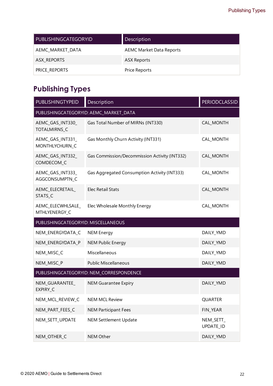| PUBLISHINGCATEGORYID | Description                     |
|----------------------|---------------------------------|
| AEMC_MARKET_DATA     | <b>AEMC Market Data Reports</b> |
| ASX_REPORTS          | ASX Reports                     |
| PRICE_REPORTS        | Price Reports                   |

# <span id="page-25-0"></span>**Publishing Types**

| PUBLISHINGTYPEID                        | Description                                   | <b>PERIODCLASSID</b>   |  |  |
|-----------------------------------------|-----------------------------------------------|------------------------|--|--|
| PUBLISHINGCATEGORYID: AEMC_MARKET_DATA  |                                               |                        |  |  |
| AEMC_GAS_INT330_<br><b>TOTALMIRNS C</b> | Gas Total Number of MIRNs (INT330)            | <b>CAL_MONTH</b>       |  |  |
| AEMC_GAS_INT331_<br>MONTHLYCHURN_C      | Gas Monthly Churn Activity (INT331)           | CAL_MONTH              |  |  |
| AEMC_GAS_INT332_<br>COMDECOM C          | Gas Commission/Decommission Activity (INT332) | <b>CAL_MONTH</b>       |  |  |
| AEMC_GAS_INT333_<br>AGGCONSUMPTN_C      | Gas Aggregated Consumption Activity (INT333)  | CAL_MONTH              |  |  |
| AEMC_ELECRETAIL_<br>STATS_C             | <b>Elec Retail Stats</b>                      | CAL_MONTH              |  |  |
| AEMC_ELECWHLSALE_<br>MTHLYENERGY_C      | Elec Wholesale Monthly Energy                 | CAL_MONTH              |  |  |
| PUBLISHINGCATEGORYID: MISCELLANEOUS     |                                               |                        |  |  |
| NEM_ENERGYDATA_C                        | <b>NEM Energy</b>                             | DAILY_YMD              |  |  |
| NEM_ENERGYDATA_P                        | <b>NEM Public Energy</b>                      | DAILY_YMD              |  |  |
| NEM_MISC_C                              | Miscellaneous                                 | DAILY_YMD              |  |  |
| NEM_MISC_P                              | <b>Public Miscellaneous</b>                   | DAILY_YMD              |  |  |
|                                         | PUBLISHINGCATEGORYID: NEM_CORRESPONDENCE      |                        |  |  |
| NEM_GUARANTEE_<br>EXPIRY_C              | <b>NEM Guarantee Expiry</b>                   | DAILY_YMD              |  |  |
| NEM_MCL_REVIEW_C                        | <b>NEM MCL Review</b>                         | <b>QUARTER</b>         |  |  |
| NEM_PART_FEES_C                         | <b>NEM Participant Fees</b>                   | FIN_YEAR               |  |  |
| NEM_SETT_UPDATE                         | <b>NEM Settlement Update</b>                  | NEM_SETT_<br>UPDATE_ID |  |  |
| NEM_OTHER_C                             | NEM Other                                     | DAILY_YMD              |  |  |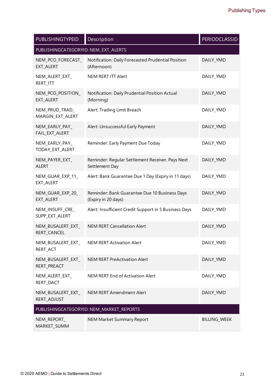| <b>PUBLISHINGTYPEID</b>              | Description                                                          | <b>PERIODCLASSID</b> |  |  |  |  |
|--------------------------------------|----------------------------------------------------------------------|----------------------|--|--|--|--|
| PUBLISHINGCATEGORYID: NEM_EXT_ALERTS |                                                                      |                      |  |  |  |  |
| NEM_PCO_FORECAST_<br>EXT_ALERT       | Notification: Daily Forecasted Prudential Position<br>(Afternoon)    | DAILY_YMD            |  |  |  |  |
| NEM_ALERT_EXT_<br>RERT_ITT           | <b>NEM RERT ITT Alert</b>                                            | DAILY_YMD            |  |  |  |  |
| NEM_PCO_POSITION_<br>EXT_ALERT       | Notification: Daily Prudential Position Actual<br>(Morning)          | DAILY_YMD            |  |  |  |  |
| NEM_PRUD_TRAD_<br>MARGIN_EXT_ALERT   | Alert: Trading Limit Breach                                          | DAILY_YMD            |  |  |  |  |
| NEM_EARLY_PAY_<br>FAIL_EXT_ALERT     | Alert: Unsuccessful Early Payment                                    | DAILY_YMD            |  |  |  |  |
| NEM_EARLY_PAY_<br>TODAY_EXT_ALERT    | Reminder: Early Payment Due Today                                    | DAILY_YMD            |  |  |  |  |
| NEM_PAYER_EXT_<br><b>ALERT</b>       | Reminder: Regular Settlement Receiver, Pays Next<br>Settlement Day   | DAILY_YMD            |  |  |  |  |
| NEM_GUAR_EXP_11_<br>EXT_ALERT        | Alert: Bank Guarantee Due 1 Day (Expiry in 11 days)                  | DAILY_YMD            |  |  |  |  |
| NEM_GUAR_EXP_20_<br>EXT_ALERT        | Reminder: Bank Guarantee Due 10 Business Days<br>(Expiry in 20 days) | DAILY_YMD            |  |  |  |  |
| NEM_INSUFF_CRE_<br>SUPP_EXT_ALERT    | Alert: Insufficient Credit Support in 5 Business Days                | DAILY_YMD            |  |  |  |  |
| NEM_BUSALERT_EXT_<br>RERT_CANCEL     | <b>NEM RERT Cancellation Alert</b>                                   | DAILY_YMD            |  |  |  |  |
| NEM_BUSALERT_EXT_<br>RERT_ACT        | <b>NEM RERT Activation Alert</b>                                     | DAILY_YMD            |  |  |  |  |
| NEM_BUSALERT_EXT_<br>RERT_PREACT     | <b>NEM RERT PreActivation Alert</b>                                  | DAILY_YMD            |  |  |  |  |
| NEM_ALERT_EXT_<br>RERT_DACT          | NEM RERT End of Activation Alert                                     | DAILY_YMD            |  |  |  |  |
| NEM_BUSALERT_EXT_<br>RERT_ADJUST     | <b>NEM RERT Amendment Alert</b>                                      | DAILY_YMD            |  |  |  |  |
|                                      | PUBLISHINGCATEGORYID: NEM_MARKET_REPORTS                             |                      |  |  |  |  |
| NEM_REPORT_<br>MARKET_SUMM           | <b>NEM Market Summary Report</b>                                     | <b>BILLING_WEEK</b>  |  |  |  |  |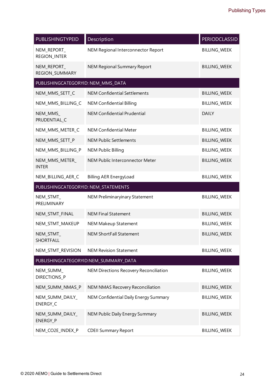| <b>PUBLISHINGTYPEID</b>              | Description                             | <b>PERIODCLASSID</b> |
|--------------------------------------|-----------------------------------------|----------------------|
| NEM_REPORT_<br><b>REGION_INTER</b>   | NEM Regional Interconnector Report      | <b>BILLING_WEEK</b>  |
| NEM_REPORT_<br>REGION_SUMMARY        | <b>NEM Regional Summary Report</b>      | <b>BILLING WEEK</b>  |
| PUBLISHINGCATEGORYID: NEM_MMS_DATA   |                                         |                      |
| NEM_MMS_SETT_C                       | <b>NEM Confidential Settlements</b>     | <b>BILLING_WEEK</b>  |
| NEM_MMS_BILLING_C                    | <b>NEM Confidential Billing</b>         | <b>BILLING_WEEK</b>  |
| NEM_MMS_<br>PRUDENTIAL_C             | <b>NEM Confidential Prudential</b>      | <b>DAILY</b>         |
| NEM_MMS_METER_C                      | <b>NEM Confidential Meter</b>           | <b>BILLING_WEEK</b>  |
| NEM_MMS_SETT_P                       | <b>NEM Public Settlements</b>           | <b>BILLING_WEEK</b>  |
| NEM_MMS_BILLING_P                    | <b>NEM Public Billing</b>               | <b>BILLING WEEK</b>  |
| NEM_MMS_METER_<br><b>INTER</b>       | NEM Public Interconnector Meter         | <b>BILLING WEEK</b>  |
| NEM_BILLING_AER_C                    | <b>Billing AER EnergyLoad</b>           | <b>BILLING_WEEK</b>  |
| PUBLISHINGCATEGORYID: NEM_STATEMENTS |                                         |                      |
| NEM_STMT_<br>PRELIMINARY             | <b>NEM Preliminaryinary Statement</b>   | <b>BILLING_WEEK</b>  |
| NEM_STMT_FINAL                       | <b>NEM Final Statement</b>              | <b>BILLING_WEEK</b>  |
| NEM_STMT_MAKEUP                      | <b>NEM Makeup Statement</b>             | BILLING_WEEK         |
| NEM_STMT_<br><b>SHORTFALL</b>        | <b>NEM ShortFall Statement</b>          | <b>BILLING_WEEK</b>  |
| NEM_STMT_REVISION                    | <b>NEM Revision Statement</b>           | <b>BILLING_WEEK</b>  |
|                                      | PUBLISHINGCATEGORYID:NEM_SUMMARY_DATA   |                      |
| NEM_SUMM_<br>DIRECTIONS_P            | NEM Directions Recovery Reconciliation  | <b>BILLING_WEEK</b>  |
| NEM_SUMM_NMAS_P                      | <b>NEM NMAS Recovery Reconciliation</b> | <b>BILLING_WEEK</b>  |
| NEM_SUMM_DAILY_<br>ENERGY_C          | NEM Confidential Daily Energy Summary   | <b>BILLING_WEEK</b>  |
| NEM_SUMM_DAILY_<br>ENERGY_P          | NEM Public Daily Energy Summary         | <b>BILLING_WEEK</b>  |
| NEM_CO2E_INDEX_P                     | <b>CDEII Summary Report</b>             | <b>BILLING_WEEK</b>  |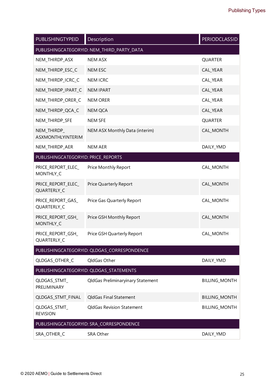| PUBLISHINGTYPEID                           | Description                                 | <b>PERIODCLASSID</b> |  |  |  |
|--------------------------------------------|---------------------------------------------|----------------------|--|--|--|
| PUBLISHINGCATEGORYID: NEM_THIRD_PARTY_DATA |                                             |                      |  |  |  |
| NEM_THIRDP_ASX                             | <b>NEM ASX</b>                              | <b>QUARTER</b>       |  |  |  |
| NEM_THIRDP_ESC_C                           | <b>NEM ESC</b>                              | CAL_YEAR             |  |  |  |
| NEM_THIRDP_ICRC_C                          | <b>NEM ICRC</b>                             | CAL_YEAR             |  |  |  |
| NEM_THIRDP_IPART_C                         | <b>NEM IPART</b>                            | CAL_YEAR             |  |  |  |
| NEM_THIRDP_ORER_C                          | <b>NEM ORER</b>                             | CAL_YEAR             |  |  |  |
| NEM_THIRDP_QCA_C                           | <b>NEM QCA</b>                              | CAL_YEAR             |  |  |  |
| NEM_THIRDP_SFE                             | <b>NEM SFE</b>                              | <b>QUARTER</b>       |  |  |  |
| NEM_THIRDP_<br><b>ASXMONTHLYINTERIM</b>    | NEM ASX Monthly Data (interim)              | CAL_MONTH            |  |  |  |
| NEM_THIRDP_AER                             | <b>NEM AER</b>                              | DAILY_YMD            |  |  |  |
| PUBLISHINGCATEGORYID: PRICE_REPORTS        |                                             |                      |  |  |  |
| PRICE REPORT ELEC<br>MONTHLY_C             | Price Monthly Report                        | CAL_MONTH            |  |  |  |
| PRICE_REPORT_ELEC_<br>QUARTERLY_C          | Price Quarterly Report                      | CAL_MONTH            |  |  |  |
| PRICE_REPORT_GAS_<br>QUARTERLY_C           | Price Gas Quarterly Report                  | CAL_MONTH            |  |  |  |
| PRICE_REPORT_GSH_<br>MONTHLY_C             | Price GSH Monthly Report                    | CAL_MONTH            |  |  |  |
| PRICE_REPORT_GSH_<br>QUARTERLY_C           | Price GSH Quarterly Report                  | CAL_MONTH            |  |  |  |
|                                            | PUBLISHINGCATEGORYID: QLDGAS_CORRESPONDENCE |                      |  |  |  |
| QLDGAS_OTHER_C                             | QldGas Other                                | DAILY_YMD            |  |  |  |
|                                            | PUBLISHINGCATEGORYID: QLDGAS_STATEMENTS     |                      |  |  |  |
| QLDGAS_STMT_<br>PRELIMINARY                | QldGas Preliminaryinary Statement           | <b>BILLING_MONTH</b> |  |  |  |
| QLDGAS_STMT_FINAL                          | QldGas Final Statement                      | <b>BILLING_MONTH</b> |  |  |  |
| QLDGAS_STMT_<br><b>REVISION</b>            | <b>QldGas Revision Statement</b>            | <b>BILLING_MONTH</b> |  |  |  |
|                                            | PUBLISHINGCATEGORYID: SRA_CORRESPONDENCE    |                      |  |  |  |
| SRA_OTHER_C                                | SRA Other                                   | DAILY_YMD            |  |  |  |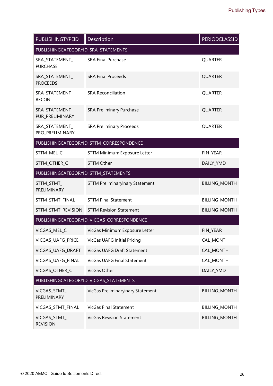| PUBLISHINGTYPEID                      | Description                                 | <b>PERIODCLASSID</b> |
|---------------------------------------|---------------------------------------------|----------------------|
| PUBLISHINGCATEGORYID: SRA_STATEMENTS  |                                             |                      |
| SRA_STATEMENT_<br><b>PURCHASE</b>     | <b>SRA Final Purchase</b>                   | <b>QUARTER</b>       |
| SRA_STATEMENT_<br><b>PROCEEDS</b>     | <b>SRA Final Proceeds</b>                   | <b>QUARTER</b>       |
| SRA_STATEMENT_<br><b>RECON</b>        | <b>SRA Reconciliation</b>                   | <b>QUARTER</b>       |
| SRA_STATEMENT_<br>PUR_PRELIMINARY     | <b>SRA Preliminary Purchase</b>             | <b>QUARTER</b>       |
| SRA_STATEMENT_<br>PRO_PRELIMINARY     | <b>SRA Preliminary Proceeds</b>             | <b>QUARTER</b>       |
|                                       | PUBLISHINGCATEGORYID: STTM_CORRESPONDENCE   |                      |
| STTM_MEL_C                            | <b>STTM Minimum Exposure Letter</b>         | FIN_YEAR             |
| STTM_OTHER_C                          | <b>STTM Other</b>                           | DAILY_YMD            |
| PUBLISHINGCATEGORYID: STTM_STATEMENTS |                                             |                      |
| STTM_STMT_<br>PRELIMINARY             | <b>STTM Preliminaryinary Statement</b>      | <b>BILLING_MONTH</b> |
| STTM_STMT_FINAL                       | <b>STTM Final Statement</b>                 | <b>BILLING_MONTH</b> |
| STTM_STMT_REVISION                    | <b>STTM Revision Statement</b>              | <b>BILLING_MONTH</b> |
|                                       | PUBLISHINGCATEGORYID: VICGAS_CORRESPONDENCE |                      |
| VICGAS_MEL_C                          | VicGas Minimum Exposure Letter              | FIN_YEAR             |
| VICGAS_UAFG_PRICE                     | <b>VicGas UAFG Initial Pricing</b>          | CAL_MONTH            |
| VICGAS_UAFG_DRAFT                     | VicGas UAFG Draft Statement                 | CAL_MONTH            |
| VICGAS_UAFG_FINAL                     | <b>VicGas UAFG Final Statement</b>          | CAL_MONTH            |
| VICGAS OTHER C                        | VicGas Other                                | DAILY_YMD            |
|                                       | PUBLISHINGCATEGORYID: VICGAS_STATEMENTS     |                      |
| VICGAS_STMT_<br>PRELIMINARY           | VicGas Preliminaryinary Statement           | <b>BILLING_MONTH</b> |
| VICGAS_STMT_FINAL                     | <b>VicGas Final Statement</b>               | <b>BILLING_MONTH</b> |
| VICGAS_STMT_<br><b>REVISION</b>       | <b>VicGas Revision Statement</b>            | <b>BILLING_MONTH</b> |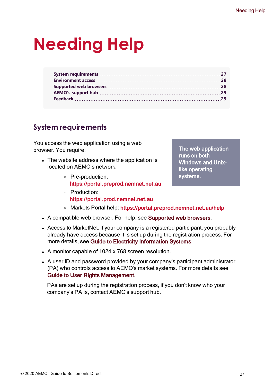# <span id="page-30-0"></span>**Needing Help**

# <span id="page-30-1"></span>**System requirements**

You access the web application using a web browser. You require:

- The website address where the application is located on AEMO's network:
	- <sup>o</sup> Pre-production: https://portal.preprod.nemnet.net.au
	- <sup>o</sup> Production: https://portal.prod.nemnet.net.au
	- o Markets Portal help: https://portal.preprod.nemnet.net.au/help
- <span id="page-30-3"></span><span id="page-30-2"></span>• A compatible web browser. For help, see Supported web browsers.
- Access to MarketNet. If your company is a registered participant, you probably already have access because it is set up during the registration process. For more details, see Guide to Electricity [Information](http://www.aemo.com.au/) Systems.
- <span id="page-30-4"></span>• A monitor capable of 1024 x 768 screen resolution.
- A user ID and password provided by your company's participant administrator (PA) who controls access to AEMO's market systems. For more details see Guide to User Rights Management.

PAs are set up during the registration process, if you don't know who your company's PA is, contact AEMO's support hub.

The web application runs on both Windows and Unixlike operating systems.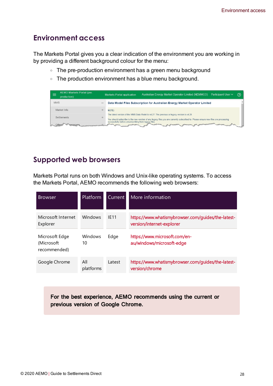# <span id="page-31-0"></span>**Environment access**

The Markets Portal gives you a clear indication of the environment you are working in by providing a different background colour for the menu:

- The pre-production environment has a green menu background
- The production environment has a blue menu background.

| AEMO Markets Portal (pre-<br>-<br>_<br>production) |                          | Australian Energy Market Operator Limited (NEMMCO) Participant User V<br><b>Markets Portal application</b>                                                                                                                        | $\odot$ |
|----------------------------------------------------|--------------------------|-----------------------------------------------------------------------------------------------------------------------------------------------------------------------------------------------------------------------------------|---------|
| <b>MMS</b>                                         | $\overline{\phantom{a}}$ | Data Model Files Subscription for Australian Energy Market Operator Limited                                                                                                                                                       |         |
| Market Info                                        |                          | NOTF:                                                                                                                                                                                                                             |         |
| <b>Settlements</b>                                 |                          | The latest version of the MMS Data Model is v4.27. The previous or legacy version is v4.26<br>You should subscribe to the new version of any legacy files you are currently subscribed to. Please ensure new files are processing |         |
|                                                    |                          | successfully before unsubscribing from legacy files.<br><b>CONTRACTOR</b>                                                                                                                                                         |         |

# <span id="page-31-1"></span>**Supported web browsers**

Markets Portal runs on both Windows and Unix-like operating systems. To access the Markets Portal, AEMO recommends the following web browsers:

| <b>Browser</b>                                | <b>Platform</b>  | Current     | l More information                                                              |
|-----------------------------------------------|------------------|-------------|---------------------------------------------------------------------------------|
| Microsoft Internet<br>Explorer                | <b>Windows</b>   | <b>IF11</b> | https://www.whatismybrowser.com/guides/the-latest-<br>version/internet-explorer |
| Microsoft Edge<br>(Microsoft)<br>recommended) | Windows<br>10    | Edge        | https://www.microsoft.com/en-<br>au/windows/microsoft-edge                      |
| Google Chrome                                 | All<br>platforms | Latest      | https://www.whatismybrowser.com/guides/the-latest-<br>version/chrome            |

For the best experience, AEMO recommends using the current or previous version of Google Chrome.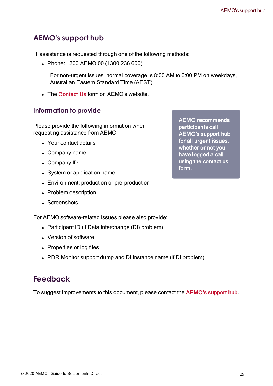# <span id="page-32-0"></span>**AEMO's support hub**

IT assistance is requested through one of the following methods:

• Phone: 1300 AEMO 00 (1300 236 600)

For non-urgent issues, normal coverage is 8:00 AM to 6:00 PM on weekdays, Australian Eastern Standard Time (AEST).

• The Contact Us form on AEMO's website.

# **Information to provide**

Please provide the following information when requesting assistance from AEMO:

- Your contact details
- Company name
- Company ID
- System or application name
- Environment: production or pre-production
- Problem description
- Screenshots

For AEMO software-related issues please also provide:

- Participant ID (if Data Interchange (DI) problem)
- Version of software
- Properties or log files
- PDR Monitor support dump and DI instance name (if DI problem)

# <span id="page-32-1"></span>**Feedback**

To suggest improvements to this document, please contact the [AEMO's](mailto:supporthub@aemo.com.au?subject=Feedback) support hub.

AEMO recommends participants call AEMO's support hub for all urgent issues, whether or not you have logged a call using the contact us form.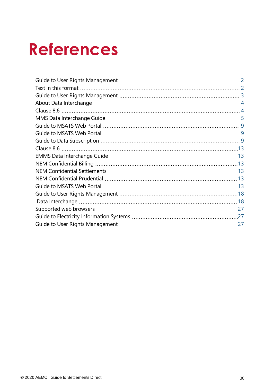# <span id="page-33-0"></span>**References**

| 27 |
|----|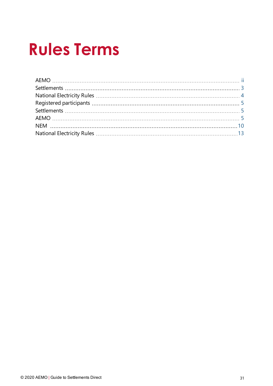# <span id="page-34-0"></span>**Rules Terms**

| AEMO |  |
|------|--|
|      |  |
|      |  |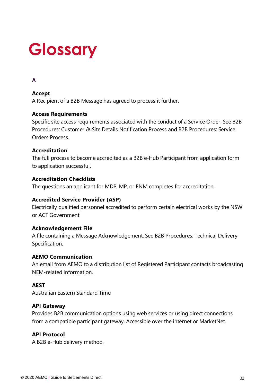# <span id="page-35-0"></span>**Glossary**

# **A**

## **Accept**

A Recipient of a B2B Message has agreed to process it further.

## **Access Requirements**

Specific site access requirements associated with the conduct of a Service Order. See B2B Procedures: Customer & Site Details Notification Process and B2B Procedures: Service Orders Process.

## **Accreditation**

The full process to become accredited as a B2B e-Hub Participant from application form to application successful.

## **Accreditation Checklists**

The questions an applicant for MDP, MP, or ENM completes for accreditation.

## **Accredited Service Provider (ASP)**

Electrically qualified personnel accredited to perform certain electrical works by the NSW or ACT Government.

#### **Acknowledgement File**

A file containing a Message Acknowledgement. See B2B Procedures: Technical Delivery Specification.

#### **AEMO Communication**

An email from AEMO to a distribution list of Registered Participant contacts broadcasting NEM-related information.

## **AEST**

Australian Eastern Standard Time

#### **API Gateway**

Provides B2B communication options using web services or using direct connections from a compatible participant gateway. Accessible over the internet or MarketNet.

## **API Protocol**

A B2B e-Hub delivery method.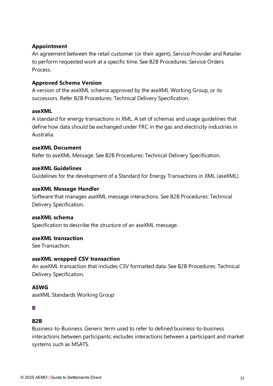## **Appointment**

An agreement between the retail customer (or their agent), Service Provider and Retailer to perform requested work at a specific time. See B2B Procedures: Service Orders **Process** 

#### **Approved Schema Version**

A version of the aseXML schema approved by the aseXML Working Group, or its successors. Refer B2B Procedures: Technical Delivery Specification.

#### **aseXML**

A standard for energy transactions in XML. A set of schemas and usage guidelines that define how data should be exchanged under FRC in the gas and electricity industries in Australia.

#### **aseXML Document**

Refer to aseXML Message. See B2B Procedures: Technical Delivery Specification.

#### **aseXML Guidelines**

Guidelines for the development of a Standard for Energy Transactions in XML (aseXML).

#### **aseXML Message Handler**

Software that manages aseXML message interactions. See B2B Procedures: Technical Delivery Specification.

#### **aseXML schema**

Specification to describe the structure of an aseXML message.

#### **aseXML transaction**

See Transaction.

#### **aseXML wrapped CSV transaction**

An aseXML transaction that includes CSV formatted data. See B2B Procedures: Technical Delivery Specification.

#### **ASWG**

aseXML Standards Working Group

#### **B**

## **B2B**

Business-to-Business. Generic term used to refer to defined business-to-business interactions between participants; excludes interactions between a participant and market systems such as MSATS.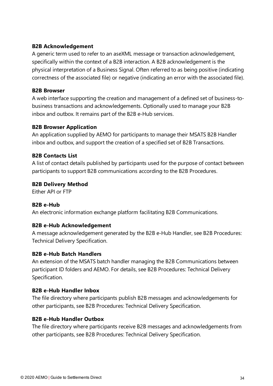## **B2B Acknowledgement**

A generic term used to refer to an aseXML message or transaction acknowledgement, specifically within the context of a B2B interaction. A B2B acknowledgement is the physical interpretation of a Business Signal. Often referred to as being positive (indicating correctness of the associated file) or negative (indicating an error with the associated file).

#### **B2B Browser**

A web interface supporting the creation and management of a defined set of business-tobusiness transactions and acknowledgements. Optionally used to manage your B2B inbox and outbox. It remains part of the B2B e-Hub services.

#### **B2B Browser Application**

An application supplied by AEMO for participants to manage their MSATS B2B Handler inbox and outbox, and support the creation of a specified set of B2B Transactions.

#### **B2B Contacts List**

A list of contact details published by participants used for the purpose of contact between participants to support B2B communications according to the B2B Procedures.

#### **B2B Delivery Method**

Either API or FTP

#### **B2B e-Hub**

An electronic information exchange platform facilitating B2B Communications.

#### **B2B e-Hub Acknowledgement**

A message acknowledgement generated by the B2B e-Hub Handler, see B2B Procedures: Technical Delivery Specification.

#### **B2B e-Hub Batch Handlers**

An extension of the MSATS batch handler managing the B2B Communications between participant ID folders and AEMO. For details, see B2B Procedures: Technical Delivery Specification.

#### **B2B e-Hub Handler Inbox**

The file directory where participants publish B2B messages and acknowledgements for other participants, see B2B Procedures: Technical Delivery Specification.

#### **B2B e-Hub Handler Outbox**

The file directory where participants receive B2B messages and acknowledgements from other participants, see B2B Procedures: Technical Delivery Specification.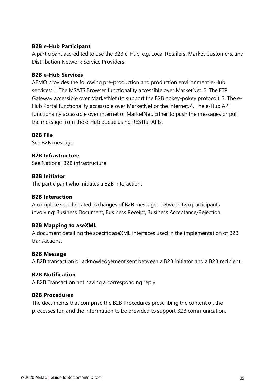#### **B2B e-Hub Participant**

A participant accredited to use the B2B e-Hub, e.g. Local Retailers, Market Customers, and Distribution Network Service Providers.

#### **B2B e-Hub Services**

AEMO provides the following pre-production and production environment e-Hub services: 1. The MSATS Browser functionality accessible over MarketNet. 2. The FTP Gateway accessible over MarketNet (to support the B2B hokey-pokey protocol). 3. The e-Hub Portal functionality accessible over MarketNet or the internet. 4. The e-Hub API functionality accessible over internet or MarketNet. Either to push the messages or pull the message from the e-Hub queue using RESTful APIs.

#### **B2B File**

See B2B message

## **B2B Infrastructure**

See National B2B infrastructure.

#### **B2B Initiator**

The participant who initiates a B2B interaction.

#### **B2B Interaction**

A complete set of related exchanges of B2B messages between two participants involving: Business Document, Business Receipt, Business Acceptance/Rejection.

#### **B2B Mapping to aseXML**

A document detailing the specific aseXML interfaces used in the implementation of B2B transactions.

#### **B2B Message**

A B2B transaction or acknowledgement sent between a B2B initiator and a B2B recipient.

#### **B2B Notification**

A B2B Transaction not having a corresponding reply.

#### **B2B Procedures**

The documents that comprise the B2B Procedures prescribing the content of, the processes for, and the information to be provided to support B2B communication.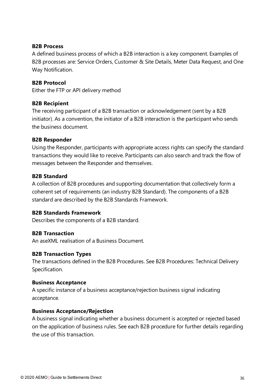#### **B2B Process**

A defined business process of which a B2B interaction is a key component. Examples of B2B processes are: Service Orders, Customer & Site Details, Meter Data Request, and One Way Notification.

#### **B2B Protocol**

Either the FTP or API delivery method

#### **B2B Recipient**

The receiving participant of a B2B transaction or acknowledgement (sent by a B2B initiator). As a convention, the initiator of a B2B interaction is the participant who sends the business document.

#### **B2B Responder**

Using the Responder, participants with appropriate access rights can specify the standard transactions they would like to receive. Participants can also search and track the flow of messages between the Responder and themselves.

#### **B2B Standard**

A collection of B2B procedures and supporting documentation that collectively form a coherent set of requirements (an industry B2B Standard). The components of a B2B standard are described by the B2B Standards Framework.

#### **B2B Standards Framework**

Describes the components of a B2B standard.

#### **B2B Transaction**

An aseXML realisation of a Business Document.

#### **B2B Transaction Types**

The transactions defined in the B2B Procedures. See B2B Procedures: Technical Delivery Specification.

#### **Business Acceptance**

A specific instance of a business acceptance/rejection business signal indicating acceptance.

#### **Business Acceptance/Rejection**

A business signal indicating whether a business document is accepted or rejected based on the application of business rules. See each B2B procedure for further details regarding the use of this transaction.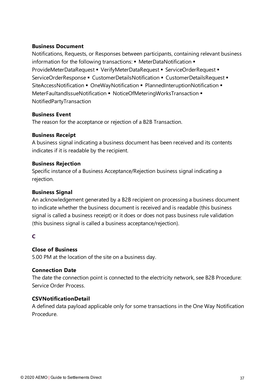#### **Business Document**

Notifications, Requests, or Responses between participants, containing relevant business information for the following transactions: • MeterDataNotification • ProvideMeterDataRequest • VerifyMeterDataRequest • ServiceOrderRequest • ServiceOrderResponse • CustomerDetailsNotification • CustomerDetailsRequest • SiteAccessNotification ■ OneWayNotification ■ PlannedInteruptionNotification ■ MeterFaultandIssueNotification ■ NoticeOfMeteringWorksTransaction ■ NotifiedPartyTransaction

#### **Business Event**

The reason for the acceptance or rejection of a B2B Transaction.

#### **Business Receipt**

A business signal indicating a business document has been received and its contents indicates if it is readable by the recipient.

#### **Business Rejection**

Specific instance of a Business Acceptance/Rejection business signal indicating a rejection.

#### **Business Signal**

An acknowledgement generated by a B2B recipient on processing a business document to indicate whether the business document is received and is readable (this business signal is called a business receipt) or it does or does not pass business rule validation (this business signal is called a business acceptance/rejection).

#### **C**

#### **Close of Business**

5.00 PM at the location of the site on a business day.

#### **Connection Date**

The date the connection point is connected to the electricity network, see B2B Procedure: Service Order Process.

#### **CSVNotificationDetail**

A defined data payload applicable only for some transactions in the One Way Notification Procedure.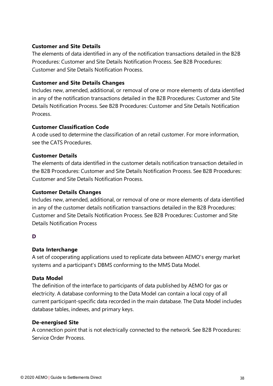#### **Customer and Site Details**

The elements of data identified in any of the notification transactions detailed in the B2B Procedures: Customer and Site Details Notification Process. See B2B Procedures: Customer and Site Details Notification Process.

#### **Customer and Site Details Changes**

Includes new, amended, additional, or removal of one or more elements of data identified in any of the notification transactions detailed in the B2B Procedures: Customer and Site Details Notification Process. See B2B Procedures: Customer and Site Details Notification Process.

#### **Customer Classification Code**

A code used to determine the classification of an retail customer. For more information, see the CATS Procedures.

#### **Customer Details**

The elements of data identified in the customer details notification transaction detailed in the B2B Procedures: Customer and Site Details Notification Process. See B2B Procedures: Customer and Site Details Notification Process.

#### **Customer Details Changes**

Includes new, amended, additional, or removal of one or more elements of data identified in any of the customer details notification transactions detailed in the B2B Procedures: Customer and Site Details Notification Process. See B2B Procedures: Customer and Site Details Notification Process

#### **D**

#### **Data Interchange**

A set of cooperating applications used to replicate data between AEMO's energy market systems and a participant's DBMS conforming to the MMS Data Model.

#### **Data Model**

The definition of the interface to participants of data published by AEMO for gas or electricity. A database conforming to the Data Model can contain a local copy of all current participant-specific data recorded in the main database. The Data Model includes database tables, indexes, and primary keys.

#### **De-energised Site**

A connection point that is not electrically connected to the network. See B2B Procedures: Service Order Process.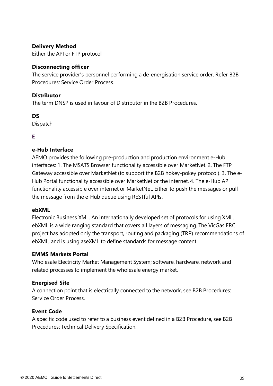### **Delivery Method**

Either the API or FTP protocol

#### **Disconnecting officer**

The service provider's personnel performing a de-energisation service order. Refer B2B Procedures: Service Order Process.

### **Distributor**

The term DNSP is used in favour of Distributor in the B2B Procedures.

## **DS**

Dispatch

## **E**

## **e-Hub Interface**

AEMO provides the following pre-production and production environment e-Hub interfaces: 1. The MSATS Browser functionality accessible over MarketNet. 2. The FTP Gateway accessible over MarketNet (to support the B2B hokey-pokey protocol). 3. The e-Hub Portal functionality accessible over MarketNet or the internet. 4. The e-Hub API functionality accessible over internet or MarketNet. Either to push the messages or pull the message from the e-Hub queue using RESTful APIs.

#### **ebXML**

Electronic Business XML. An internationally developed set of protocols for using XML. ebXML is a wide ranging standard that covers all layers of messaging. The VicGas FRC project has adopted only the transport, routing and packaging (TRP) recommendations of ebXML, and is using aseXML to define standards for message content.

#### **EMMS Markets Portal**

Wholesale Electricity Market Management System; software, hardware, network and related processes to implement the wholesale energy market.

#### **Energised Site**

A connection point that is electrically connected to the network, see B2B Procedures: Service Order Process.

## **Event Code**

A specific code used to refer to a business event defined in a B2B Procedure, see B2B Procedures: Technical Delivery Specification.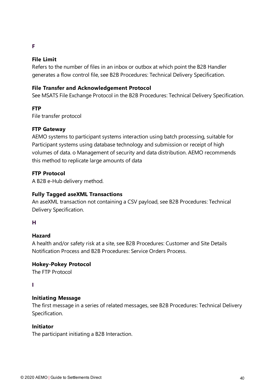### **F**

## **File Limit**

Refers to the number of files in an inbox or outbox at which point the B2B Handler generates a flow control file, see B2B Procedures: Technical Delivery Specification.

## **File Transfer and Acknowledgement Protocol**

See MSATS File Exchange Protocol in the B2B Procedures: Technical Delivery Specification.

## **FTP**

File transfer protocol

#### **FTP Gateway**

AEMO systems to participant systems interaction using batch processing, suitable for Participant systems using database technology and submission or receipt of high volumes of data. o Management of security and data distribution. AEMO recommends this method to replicate large amounts of data

#### **FTP Protocol**

A B2B e-Hub delivery method.

### **Fully Tagged aseXML Transactions**

An aseXML transaction not containing a CSV payload, see B2B Procedures: Technical Delivery Specification.

#### **H**

## **Hazard**

A health and/or safety risk at a site, see B2B Procedures: Customer and Site Details Notification Process and B2B Procedures: Service Orders Process.

## **Hokey-Pokey Protocol**

The FTP Protocol

#### **I**

#### **Initiating Message**

The first message in a series of related messages, see B2B Procedures: Technical Delivery Specification.

#### **Initiator**

The participant initiating a B2B Interaction.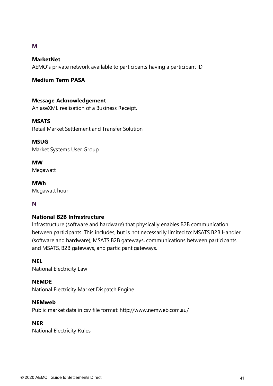### **M**

#### **MarketNet**

AEMO's private network available to participants having a participant ID

## **Medium Term PASA**

## **Message Acknowledgement**

An aseXML realisation of a Business Receipt.

#### **MSATS**

Retail Market Settlement and Transfer Solution

#### **MSUG**

Market Systems User Group

**MW** Megawatt

**MWh** Megawatt hour

## **N**

#### **National B2B Infrastructure**

Infrastructure (software and hardware) that physically enables B2B communication between participants. This includes, but is not necessarily limited to: MSATS B2B Handler (software and hardware), MSATS B2B gateways, communications between participants and MSATS, B2B gateways, and participant gateways.

#### **NEL**

National Electricity Law

#### **NEMDE**

National Electricity Market Dispatch Engine

#### **NEMweb**

Public market data in csv file format: http://www.nemweb.com.au/

#### **NER**

National Electricity Rules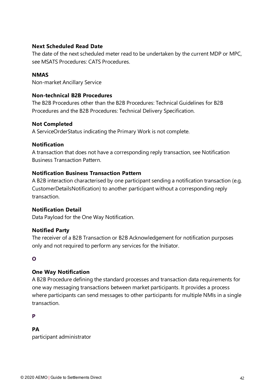#### **Next Scheduled Read Date**

The date of the next scheduled meter read to be undertaken by the current MDP or MPC, see MSATS Procedures: CATS Procedures.

#### **NMAS**

Non-market Ancillary Service

## **Non-technical B2B Procedures**

The B2B Procedures other than the B2B Procedures: Technical Guidelines for B2B Procedures and the B2B Procedures: Technical Delivery Specification.

#### **Not Completed**

A ServiceOrderStatus indicating the Primary Work is not complete.

## **Notification**

A transaction that does not have a corresponding reply transaction, see Notification Business Transaction Pattern.

## **Notification Business Transaction Pattern**

A B2B interaction characterised by one participant sending a notification transaction (e.g. CustomerDetailsNotification) to another participant without a corresponding reply transaction.

#### **Notification Detail**

Data Payload for the One Way Notification.

## **Notified Party**

The receiver of a B2B Transaction or B2B Acknowledgement for notification purposes only and not required to perform any services for the Initiator.

## **O**

## **One Way Notification**

A B2B Procedure defining the standard processes and transaction data requirements for one way messaging transactions between market participants. It provides a process where participants can send messages to other participants for multiple NMIs in a single transaction.

#### **P**

## **PA**

participant administrator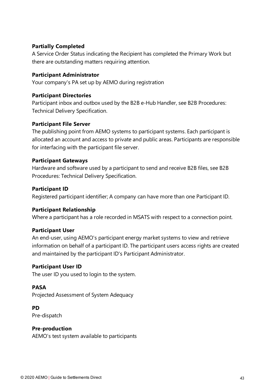## **Partially Completed**

A Service Order Status indicating the Recipient has completed the Primary Work but there are outstanding matters requiring attention.

#### **Participant Administrator**

Your company's PA set up by AEMO during registration

#### **Participant Directories**

Participant inbox and outbox used by the B2B e-Hub Handler, see B2B Procedures: Technical Delivery Specification.

#### **Participant File Server**

The publishing point from AEMO systems to participant systems. Each participant is allocated an account and access to private and public areas. Participants are responsible for interfacing with the participant file server.

#### **Participant Gateways**

Hardware and software used by a participant to send and receive B2B files, see B2B Procedures: Technical Delivery Specification.

#### **Participant ID**

Registered participant identifier; A company can have more than one Participant ID.

#### **Participant Relationship**

Where a participant has a role recorded in MSATS with respect to a connection point.

#### **Participant User**

An end-user, using AEMO's participant energy market systems to view and retrieve information on behalf of a participant ID. The participant users access rights are created and maintained by the participant ID's Participant Administrator.

#### **Participant User ID**

The user ID you used to login to the system.

#### **PASA**

Projected Assessment of System Adequacy

#### **PD**

Pre-dispatch

#### **Pre-production**

AEMO's test system available to participants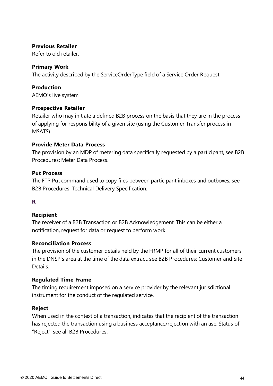#### **Previous Retailer**

Refer to old retailer.

#### **Primary Work**

The activity described by the ServiceOrderType field of a Service Order Request.

#### **Production**

AEMO's live system

#### **Prospective Retailer**

Retailer who may initiate a defined B2B process on the basis that they are in the process of applying for responsibility of a given site (using the Customer Transfer process in MSATS).

#### **Provide Meter Data Process**

The provision by an MDP of metering data specifically requested by a participant, see B2B Procedures: Meter Data Process.

#### **Put Process**

The FTP Put command used to copy files between participant inboxes and outboxes, see B2B Procedures: Technical Delivery Specification.

#### **R**

#### **Recipient**

The receiver of a B2B Transaction or B2B Acknowledgement. This can be either a notification, request for data or request to perform work.

#### **Reconciliation Process**

The provision of the customer details held by the FRMP for all of their current customers in the DNSP's area at the time of the data extract, see B2B Procedures: Customer and Site Details.

#### **Regulated Time Frame**

The timing requirement imposed on a service provider by the relevant jurisdictional instrument for the conduct of the regulated service.

#### **Reject**

When used in the context of a transaction, indicates that the recipient of the transaction has rejected the transaction using a business acceptance/rejection with an ase: Status of "Reject", see all B2B Procedures.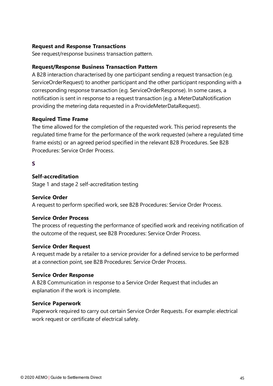## **Request and Response Transactions**

See request/response business transaction pattern.

#### **Request/Response Business Transaction Pattern**

A B2B interaction characterised by one participant sending a request transaction (e.g. ServiceOrderRequest) to another participant and the other participant responding with a corresponding response transaction (e.g. ServiceOrderResponse). In some cases, a notification is sent in response to a request transaction (e.g. a MeterDataNotification providing the metering data requested in a ProvideMeterDataRequest).

#### **Required Time Frame**

The time allowed for the completion of the requested work. This period represents the regulated time frame for the performance of the work requested (where a regulated time frame exists) or an agreed period specified in the relevant B2B Procedures. See B2B Procedures: Service Order Process.

#### **S**

#### **Self-accreditation**

Stage 1 and stage 2 self-accreditation testing

#### **Service Order**

A request to perform specified work, see B2B Procedures: Service Order Process.

#### **Service Order Process**

The process of requesting the performance of specified work and receiving notification of the outcome of the request, see B2B Procedures: Service Order Process.

#### **Service Order Request**

A request made by a retailer to a service provider for a defined service to be performed at a connection point, see B2B Procedures: Service Order Process.

#### **Service Order Response**

A B2B Communication in response to a Service Order Request that includes an explanation if the work is incomplete.

#### **Service Paperwork**

Paperwork required to carry out certain Service Order Requests. For example: electrical work request or certificate of electrical safety.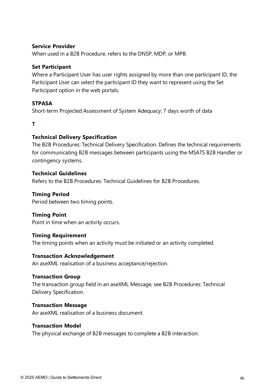#### **Service Provider**

When used in a B2B Procedure, refers to the DNSP, MDP, or MPB.

#### **Set Participant**

Where a Participant User has user rights assigned by more than one participant ID, the Participant User can select the participant ID they want to represent using the Set Participant option in the web portals.

#### **STPASA**

Short-term Projected Assessment of System Adequacy; 7 days worth of data

#### **T**

#### **Technical Delivery Specification**

The B2B Procedures: Technical Delivery Specification. Defines the technical requirements for communicating B2B messages between participants using the MSATS B2B Handler or contingency systems.

#### **Technical Guidelines**

Refers to the B2B Procedures: Technical Guidelines for B2B Procedures.

#### **Timing Period**

Period between two timing points.

#### **Timing Point**

Point in time when an activity occurs.

#### **Timing Requirement**

The timing points when an activity must be initiated or an activity completed.

#### **Transaction Acknowledgement**

An aseXML realisation of a business acceptance/rejection.

#### **Transaction Group**

The transaction group field in an aseXML Message, see B2B Procedures: Technical Delivery Specification.

#### **Transaction Message**

An aseXML realisation of a business document.

#### **Transaction Model**

The physical exchange of B2B messages to complete a B2B interaction.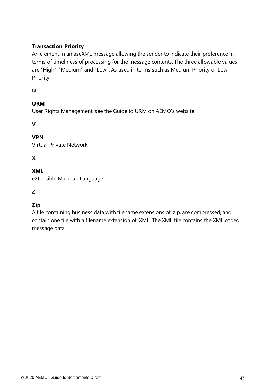## **Transaction Priority**

An element in an aseXML message allowing the sender to indicate their preference in terms of timeliness of processing for the message contents. The three allowable values are "High", "Medium" and "Low". As used in terms such as Medium Priority or Low Priority.

## **U**

# **URM**

User Rights Management; see the Guide to URM on AEMO's website

## **V**

# **VPN**

Virtual Private Network

# **X**

# **XML**

eXtensible Mark-up Language.

# **Z**

# **Zip**

A file containing business data with filename extensions of .zip, are compressed, and contain one file with a filename extension of .XML. The XML file contains the XML coded message data.